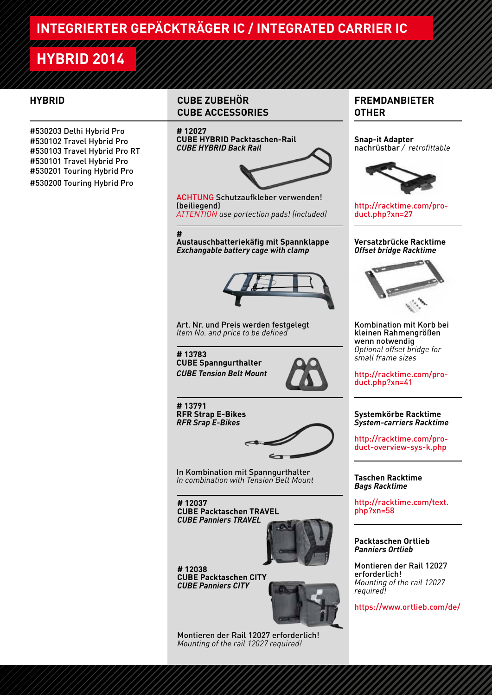# **HYBRID 2014**

#530203 Delhi Hybrid Pro #530102 Travel Hybrid Pro #530103 Travel Hybrid Pro RT #530101 Travel Hybrid Pro #530201 Touring Hybrid Pro #530200 Touring Hybrid Pro

# **HYBRID CUBE ZUBEHÖR CUBE ACCESSORIES**

## **# 12027**

**CUBE HYBRID Packtaschen-Rail** *CUBE HYBRID Back Rail* 



ACHTUNG Schutzaufkleber verwenden! (beiliegend)

*ATTENTION use portection pads! (included)*

**# Austauschbatteriekäfig mit Spannklappe** *Exchangable battery cage with clamp*



Art. Nr. und Preis werden festgelegt *Item No. and price to be defined*

**# 13783** 

**CUBE Spanngurthalter** *CUBE Tension Belt Mount*



**# 13791 RFR Strap E-Bikes** *RFR Srap E-Bikes*



In Kombination mit Spanngurthalter *In combination with Tension Belt Mount*

**# 12037 CUBE Packtaschen TRAVEL** *CUBE Panniers TRAVEL*



**# 12038 CUBE Packtaschen CITY** *CUBE Panniers CITY*



Montieren der Rail 12027 erforderlich! *Mounting of the rail 12027 required!*

# **FREMDANBIETER OTHER**

**Snap-it Adapter** nachrüstbar */ retrofittable*



http://racktime.com/product.php?xn=27

### **Versatzbrücke Racktime** *Offset bridge Racktime*



Kombination mit Korb bei kleinen Rahmengrößen wenn notwendig *Optional offset bridge for small frame sizes*

http://racktime.com/product.php?xn=41

## **Systemkörbe Racktime** *System-carriers Racktime*

http://racktime.com/product-overview-sys-k.php

### **Taschen Racktime** *Bags Racktime*

http://racktime.com/text. php?xn=58

## **Packtaschen Ortlieb** *Panniers Ortlieb*

Montieren der Rail 12027 erforderlich! *Mounting of the rail 12027 required!*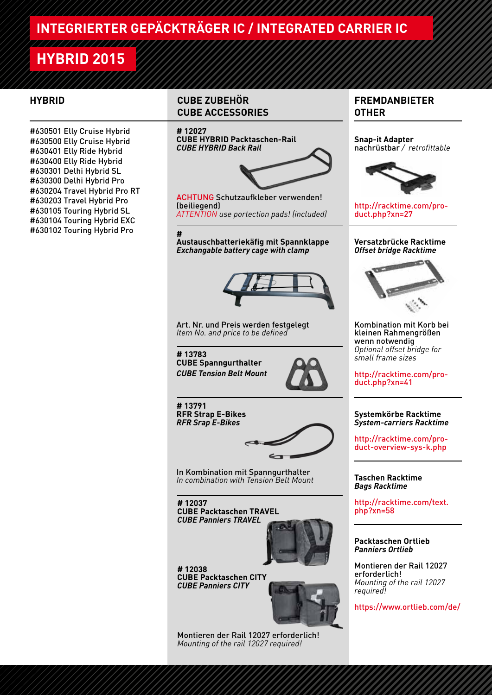# **HYBRID 2015**

///////////////

#630501 Elly Cruise Hybrid #630500 Elly Cruise Hybrid #630401 Elly Ride Hybrid #630400 Elly Ride Hybrid #630301 Delhi Hybrid SL #630300 Delhi Hybrid Pro #630204 Travel Hybrid Pro RT #630203 Travel Hybrid Pro #630105 Touring Hybrid SL #630104 Touring Hybrid EXC #630102 Touring Hybrid Pro

# **HYBRID CUBE ZUBEHÖR CUBE ACCESSORIES**

## **# 12027**

**CUBE HYBRID Packtaschen-Rail** *CUBE HYBRID Back Rail* 



ACHTUNG Schutzaufkleber verwenden! (beiliegend)

*ATTENTION use portection pads! (included)*

**#** 

**Austauschbatteriekäfig mit Spannklappe** *Exchangable battery cage with clamp* 



Art. Nr. und Preis werden festgelegt *Item No. and price to be defined*

**# 13783** 

**CUBE Spanngurthalter** *CUBE Tension Belt Mount*



**# 13791 RFR Strap E-Bikes** *RFR Srap E-Bikes*



In Kombination mit Spanngurthalter *In combination with Tension Belt Mount*

**# 12037 CUBE Packtaschen TRAVEL** *CUBE Panniers TRAVEL*



**# 12038 CUBE Packtaschen CITY** *CUBE Panniers CITY*



Montieren der Rail 12027 erforderlich! *Mounting of the rail 12027 required!*

# **FREMDANBIETER OTHER**

**Snap-it Adapter** nachrüstbar */ retrofittable*



http://racktime.com/product.php?xn=27

### **Versatzbrücke Racktime** *Offset bridge Racktime*



Kombination mit Korb bei kleinen Rahmengrößen wenn notwendig *Optional offset bridge for small frame sizes*

http://racktime.com/product.php?xn=41

## **Systemkörbe Racktime** *System-carriers Racktime*

http://racktime.com/product-overview-sys-k.php

### **Taschen Racktime** *Bags Racktime*

http://racktime.com/text. php?xn=58

# **Packtaschen Ortlieb** *Panniers Ortlieb*

Montieren der Rail 12027 erforderlich! *Mounting of the rail 12027 required!*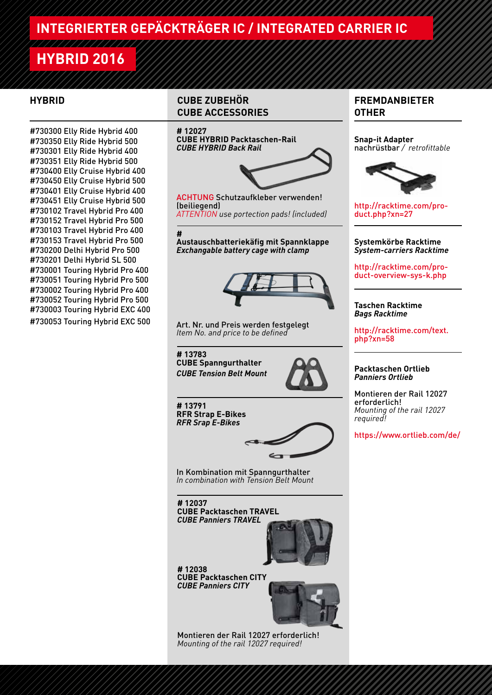# **HYBRID 2016**

//////////////

#730300 Elly Ride Hybrid 400 #730350 Elly Ride Hybrid 500 #730301 Elly Ride Hybrid 400 #730351 Elly Ride Hybrid 500 #730400 Elly Cruise Hybrid 400 #730450 Elly Cruise Hybrid 500 #730401 Elly Cruise Hybrid 400 #730451 Elly Cruise Hybrid 500 #730102 Travel Hybrid Pro 400 #730152 Travel Hybrid Pro 500 #730103 Travel Hybrid Pro 400 #730153 Travel Hybrid Pro 500 #730200 Delhi Hybrid Pro 500 #730201 Delhi Hybrid SL 500 #730001 Touring Hybrid Pro 400 #730051 Touring Hybrid Pro 500 #730002 Touring Hybrid Pro 400 #730052 Touring Hybrid Pro 500 #730003 Touring Hybrid EXC 400 #730053 Touring Hybrid EXC 500

# **HYBRID CUBE ZUBEHÖR CUBE ACCESSORIES**

## **# 12027**

**CUBE HYBRID Packtaschen-Rail** *CUBE HYBRID Back Rail* 



ACHTUNG Schutzaufkleber verwenden! (beiliegend)

*ATTENTION use portection pads! (included)*

**#** 

**Austauschbatteriekäfig mit Spannklappe** *Exchangable battery cage with clamp* 



Art. Nr. und Preis werden festgelegt *Item No. and price to be defined*

**# 13783 CUBE Spanngurthalter** *CUBE Tension Belt Mount*



**# 13791 RFR Strap E-Bikes** *RFR Srap E-Bikes*



In Kombination mit Spanngurthalter *In combination with Tension Belt Mount*

**# 12037 CUBE Packtaschen TRAVEL** *CUBE Panniers TRAVEL*



**# 12038 CUBE Packtaschen CITY** *CUBE Panniers CITY*



Montieren der Rail 12027 erforderlich! *Mounting of the rail 12027 required!*

# **FREMDANBIETER OTHER**

**Snap-it Adapter** nachrüstbar */ retrofittable*



http://racktime.com/product.php?xn=27

### **Systemkörbe Racktime** *System-carriers Racktime*

http://racktime.com/product-overview-sys-k.php

## **Taschen Racktime** *Bags Racktime*

http://racktime.com/text. php?xn=58

## **Packtaschen Ortlieb** *Panniers Ortlieb*

Montieren der Rail 12027 erforderlich! *Mounting of the rail 12027 required!*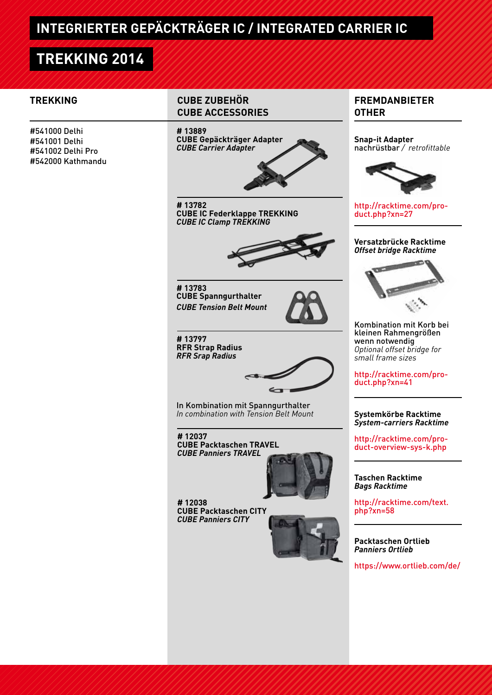# **TREKKING 2014**

#541000 Delhi #541001 Delhi #541002 Delhi Pro #542000 Kathmandu

# **TREKKING CUBE ZUBEHÖR CUBE ACCESSORIES**

# **# 13889**

**CUBE Gepäckträger Adapter** *CUBE Carrier Adapter*



**# 13782 CUBE IC Federklappe TREKKING** *CUBE IC Clamp TREKKING*



**# 13783 CUBE Spanngurthalter** *CUBE Tension Belt Mount*



**# 13797 RFR Strap Radius** *RFR Srap Radius*



In Kombination mit Spanngurthalter *In combination with Tension Belt Mount*

**# 12037 CUBE Packtaschen TRAVEL** *CUBE Panniers TRAVEL*



**# 12038 CUBE Packtaschen CITY** *CUBE Panniers CITY*



https://www.ortlieb.com/de/

# **FREMDANBIETER OTHER**

**Snap-it Adapter** nachrüstbar */ retrofittable*



http://racktime.com/product.php?xn=27

### **Versatzbrücke Racktime** *Offset bridge Racktime*



Kombination mit Korb bei kleinen Rahmengrößen wenn notwendig *Optional offset bridge for small frame sizes*

http://racktime.com/product.php?xn=41

## **Systemkörbe Racktime** *System-carriers Racktime*

http://racktime.com/product-overview-sys-k.php

### **Taschen Racktime** *Bags Racktime*

http://racktime.com/text. php?xn=58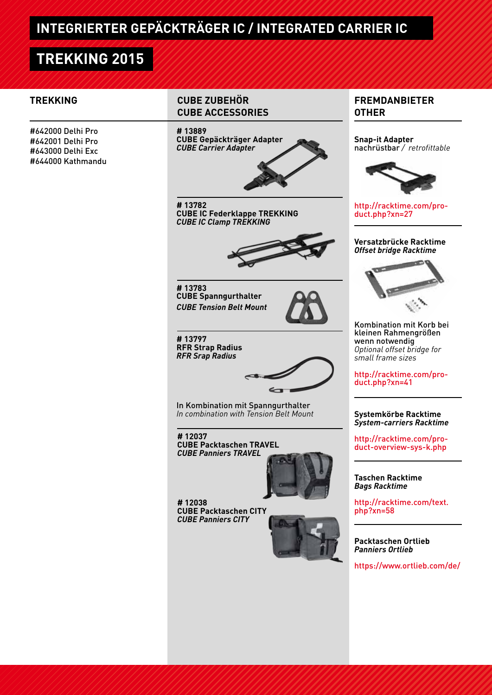# **TREKKING 2015**

#642000 Delhi Pro #642001 Delhi Pro #643000 Delhi Exc #644000 Kathmandu

# **TREKKING CUBE ZUBEHÖR CUBE ACCESSORIES**

# **# 13889**

**CUBE Gepäckträger Adapter** *CUBE Carrier Adapter*



**# 13782 CUBE IC Federklappe TREKKING** *CUBE IC Clamp TREKKING*



**# 13783 CUBE Spanngurthalter** *CUBE Tension Belt Mount*



**# 13797 RFR Strap Radius** *RFR Srap Radius*



In Kombination mit Spanngurthalter *In combination with Tension Belt Mount*

**# 12037 CUBE Packtaschen TRAVEL** *CUBE Panniers TRAVEL*



**# 12038 CUBE Packtaschen CITY** *CUBE Panniers CITY*



https://www.ortlieb.com/de/

# **FREMDANBIETER OTHER**

**Snap-it Adapter** nachrüstbar */ retrofittable*



http://racktime.com/product.php?xn=27

### **Versatzbrücke Racktime** *Offset bridge Racktime*



Kombination mit Korb bei kleinen Rahmengrößen wenn notwendig *Optional offset bridge for small frame sizes*

http://racktime.com/product.php?xn=41

### **Systemkörbe Racktime** *System-carriers Racktime*

http://racktime.com/product-overview-sys-k.php

### **Taschen Racktime** *Bags Racktime*

http://racktime.com/text. php?xn=58